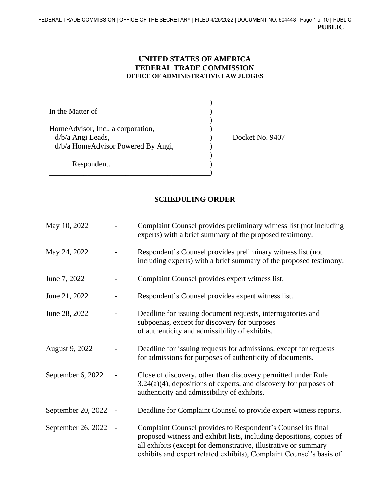## **UNITED STATES OF AMERICA FEDERAL TRADE COMMISSION OFFICE OF ADMINISTRATIVE LAW JUDGES**

| In the Matter of                                                                             |  |
|----------------------------------------------------------------------------------------------|--|
| HomeAdvisor, Inc., a corporation,<br>d/b/a Angi Leads,<br>d/b/a HomeAdvisor Powered By Angi, |  |
| Respondent.                                                                                  |  |

\_\_\_\_\_\_\_\_\_\_\_\_\_\_\_\_\_\_\_\_\_\_\_\_\_\_\_\_\_\_\_\_\_\_\_\_\_\_\_\_\_\_

Docket No. 9407

## **SCHEDULING ORDER**

| May 10, 2022       | Complaint Counsel provides preliminary witness list (not including<br>experts) with a brief summary of the proposed testimony.                                                                                                                                                 |
|--------------------|--------------------------------------------------------------------------------------------------------------------------------------------------------------------------------------------------------------------------------------------------------------------------------|
| May 24, 2022       | Respondent's Counsel provides preliminary witness list (not<br>including experts) with a brief summary of the proposed testimony.                                                                                                                                              |
| June 7, 2022       | Complaint Counsel provides expert witness list.                                                                                                                                                                                                                                |
| June 21, 2022      | Respondent's Counsel provides expert witness list.                                                                                                                                                                                                                             |
| June 28, 2022      | Deadline for issuing document requests, interrogatories and<br>subpoenas, except for discovery for purposes<br>of authenticity and admissibility of exhibits.                                                                                                                  |
| August 9, 2022     | Deadline for issuing requests for admissions, except for requests<br>for admissions for purposes of authenticity of documents.                                                                                                                                                 |
| September 6, 2022  | Close of discovery, other than discovery permitted under Rule<br>$3.24(a)(4)$ , depositions of experts, and discovery for purposes of<br>authenticity and admissibility of exhibits.                                                                                           |
| September 20, 2022 | Deadline for Complaint Counsel to provide expert witness reports.                                                                                                                                                                                                              |
| September 26, 2022 | Complaint Counsel provides to Respondent's Counsel its final<br>proposed witness and exhibit lists, including depositions, copies of<br>all exhibits (except for demonstrative, illustrative or summary<br>exhibits and expert related exhibits), Complaint Counsel's basis of |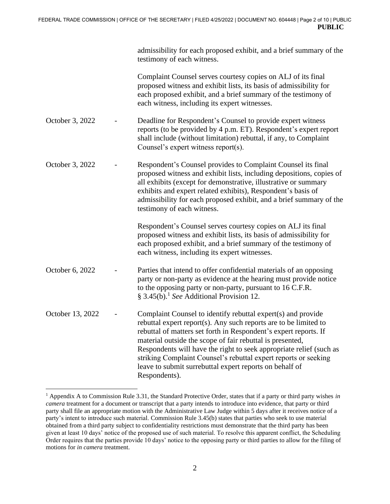|                  | admissibility for each proposed exhibit, and a brief summary of the<br>testimony of each witness.                                                                                                                                                                                                                                                                                                                                                                                       |
|------------------|-----------------------------------------------------------------------------------------------------------------------------------------------------------------------------------------------------------------------------------------------------------------------------------------------------------------------------------------------------------------------------------------------------------------------------------------------------------------------------------------|
|                  | Complaint Counsel serves courtesy copies on ALJ of its final<br>proposed witness and exhibit lists, its basis of admissibility for<br>each proposed exhibit, and a brief summary of the testimony of<br>each witness, including its expert witnesses.                                                                                                                                                                                                                                   |
| October 3, 2022  | Deadline for Respondent's Counsel to provide expert witness<br>reports (to be provided by 4 p.m. ET). Respondent's expert report<br>shall include (without limitation) rebuttal, if any, to Complaint<br>Counsel's expert witness report(s).                                                                                                                                                                                                                                            |
| October 3, 2022  | Respondent's Counsel provides to Complaint Counsel its final<br>proposed witness and exhibit lists, including depositions, copies of<br>all exhibits (except for demonstrative, illustrative or summary<br>exhibits and expert related exhibits), Respondent's basis of<br>admissibility for each proposed exhibit, and a brief summary of the<br>testimony of each witness.                                                                                                            |
|                  | Respondent's Counsel serves courtesy copies on ALJ its final<br>proposed witness and exhibit lists, its basis of admissibility for<br>each proposed exhibit, and a brief summary of the testimony of<br>each witness, including its expert witnesses.                                                                                                                                                                                                                                   |
| October 6, 2022  | Parties that intend to offer confidential materials of an opposing<br>party or non-party as evidence at the hearing must provide notice<br>to the opposing party or non-party, pursuant to 16 C.F.R.<br>§ 3.45(b). <sup>1</sup> See Additional Provision 12.                                                                                                                                                                                                                            |
| October 13, 2022 | Complaint Counsel to identify rebuttal expert(s) and provide<br>rebuttal expert report(s). Any such reports are to be limited to<br>rebuttal of matters set forth in Respondent's expert reports. If<br>material outside the scope of fair rebuttal is presented,<br>Respondents will have the right to seek appropriate relief (such as<br>striking Complaint Counsel's rebuttal expert reports or seeking<br>leave to submit surrebuttal expert reports on behalf of<br>Respondents). |

<sup>1</sup> Appendix A to Commission Rule 3.31, the Standard Protective Order, states that if a party or third party wishes *in camera* treatment for a document or transcript that a party intends to introduce into evidence, that party or third party shall file an appropriate motion with the Administrative Law Judge within 5 days after it receives notice of a party's intent to introduce such material. Commission Rule 3.45(b) states that parties who seek to use material obtained from a third party subject to confidentiality restrictions must demonstrate that the third party has been given at least 10 days' notice of the proposed use of such material. To resolve this apparent conflict, the Scheduling Order requires that the parties provide 10 days' notice to the opposing party or third parties to allow for the filing of motions for *in camera* treatment.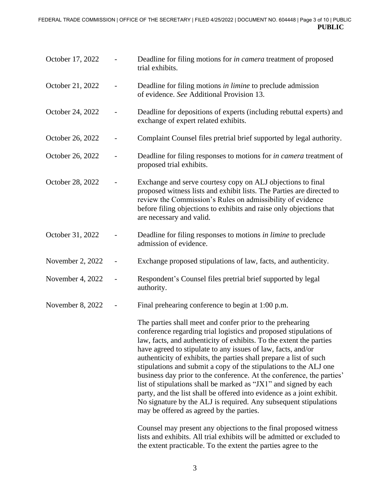| October 17, 2022 |                   | Deadline for filing motions for <i>in camera</i> treatment of proposed<br>trial exhibits.                                                                                                                                                                                                                                                                                                                                                                                                                                                                                                                                                                                                                                                               |
|------------------|-------------------|---------------------------------------------------------------------------------------------------------------------------------------------------------------------------------------------------------------------------------------------------------------------------------------------------------------------------------------------------------------------------------------------------------------------------------------------------------------------------------------------------------------------------------------------------------------------------------------------------------------------------------------------------------------------------------------------------------------------------------------------------------|
| October 21, 2022 |                   | Deadline for filing motions in limine to preclude admission<br>of evidence. See Additional Provision 13.                                                                                                                                                                                                                                                                                                                                                                                                                                                                                                                                                                                                                                                |
| October 24, 2022 |                   | Deadline for depositions of experts (including rebuttal experts) and<br>exchange of expert related exhibits.                                                                                                                                                                                                                                                                                                                                                                                                                                                                                                                                                                                                                                            |
| October 26, 2022 |                   | Complaint Counsel files pretrial brief supported by legal authority.                                                                                                                                                                                                                                                                                                                                                                                                                                                                                                                                                                                                                                                                                    |
| October 26, 2022 |                   | Deadline for filing responses to motions for <i>in camera</i> treatment of<br>proposed trial exhibits.                                                                                                                                                                                                                                                                                                                                                                                                                                                                                                                                                                                                                                                  |
| October 28, 2022 |                   | Exchange and serve courtesy copy on ALJ objections to final<br>proposed witness lists and exhibit lists. The Parties are directed to<br>review the Commission's Rules on admissibility of evidence<br>before filing objections to exhibits and raise only objections that<br>are necessary and valid.                                                                                                                                                                                                                                                                                                                                                                                                                                                   |
| October 31, 2022 |                   | Deadline for filing responses to motions <i>in limine</i> to preclude<br>admission of evidence.                                                                                                                                                                                                                                                                                                                                                                                                                                                                                                                                                                                                                                                         |
| November 2, 2022 | $\qquad \qquad -$ | Exchange proposed stipulations of law, facts, and authenticity.                                                                                                                                                                                                                                                                                                                                                                                                                                                                                                                                                                                                                                                                                         |
| November 4, 2022 |                   | Respondent's Counsel files pretrial brief supported by legal<br>authority.                                                                                                                                                                                                                                                                                                                                                                                                                                                                                                                                                                                                                                                                              |
| November 8, 2022 |                   | Final prehearing conference to begin at 1:00 p.m.                                                                                                                                                                                                                                                                                                                                                                                                                                                                                                                                                                                                                                                                                                       |
|                  |                   | The parties shall meet and confer prior to the prehearing<br>conference regarding trial logistics and proposed stipulations of<br>law, facts, and authenticity of exhibits. To the extent the parties<br>have agreed to stipulate to any issues of law, facts, and/or<br>authenticity of exhibits, the parties shall prepare a list of such<br>stipulations and submit a copy of the stipulations to the ALJ one<br>business day prior to the conference. At the conference, the parties'<br>list of stipulations shall be marked as "JX1" and signed by each<br>party, and the list shall be offered into evidence as a joint exhibit.<br>No signature by the ALJ is required. Any subsequent stipulations<br>may be offered as agreed by the parties. |
|                  |                   | Counsel may present any objections to the final proposed witness<br>lists and exhibits. All trial exhibits will be admitted or excluded to<br>the extent practicable. To the extent the parties agree to the                                                                                                                                                                                                                                                                                                                                                                                                                                                                                                                                            |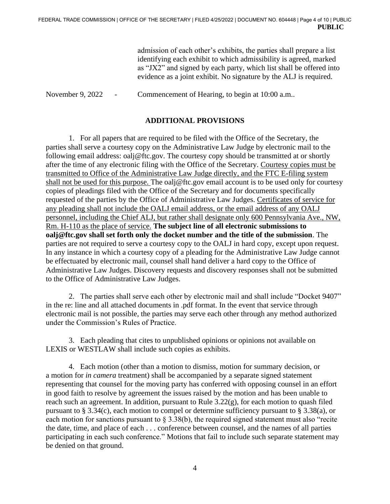admission of each other's exhibits, the parties shall prepare a list identifying each exhibit to which admissibility is agreed, marked as "JX2" and signed by each party, which list shall be offered into evidence as a joint exhibit. No signature by the ALJ is required.

November 9, 2022 - Commencement of Hearing, to begin at 10:00 a.m..

## **ADDITIONAL PROVISIONS**

1. For all papers that are required to be filed with the Office of the Secretary, the parties shall serve a courtesy copy on the Administrative Law Judge by electronic mail to the following email address: oalj@ftc.gov. The courtesy copy should be transmitted at or shortly after the time of any electronic filing with the Office of the Secretary. Courtesy copies must be transmitted to Office of the Administrative Law Judge directly, and the FTC E-filing system shall not be used for this purpose. The oalj@ftc.gov email account is to be used only for courtesy copies of pleadings filed with the Office of the Secretary and for documents specifically requested of the parties by the Office of Administrative Law Judges. Certificates of service for any pleading shall not include the OALJ email address, or the email address of any OALJ personnel, including the Chief ALJ, but rather shall designate only 600 Pennsylvania Ave., NW, Rm. H-110 as the place of service. **The subject line of all electronic submissions to oalj@ftc.gov shall set forth only the docket number and the title of the submission**. The parties are not required to serve a courtesy copy to the OALJ in hard copy, except upon request. In any instance in which a courtesy copy of a pleading for the Administrative Law Judge cannot be effectuated by electronic mail, counsel shall hand deliver a hard copy to the Office of Administrative Law Judges. Discovery requests and discovery responses shall not be submitted to the Office of Administrative Law Judges.

2. The parties shall serve each other by electronic mail and shall include "Docket 9407" in the re: line and all attached documents in .pdf format. In the event that service through electronic mail is not possible, the parties may serve each other through any method authorized under the Commission's Rules of Practice.

3. Each pleading that cites to unpublished opinions or opinions not available on LEXIS or WESTLAW shall include such copies as exhibits.

4. Each motion (other than a motion to dismiss, motion for summary decision, or a motion for *in camera* treatment) shall be accompanied by a separate signed statement representing that counsel for the moving party has conferred with opposing counsel in an effort in good faith to resolve by agreement the issues raised by the motion and has been unable to reach such an agreement. In addition, pursuant to Rule 3.22(g), for each motion to quash filed pursuant to § 3.34(c), each motion to compel or determine sufficiency pursuant to § 3.38(a), or each motion for sanctions pursuant to § 3.38(b), the required signed statement must also "recite the date, time, and place of each . . . conference between counsel, and the names of all parties participating in each such conference." Motions that fail to include such separate statement may be denied on that ground.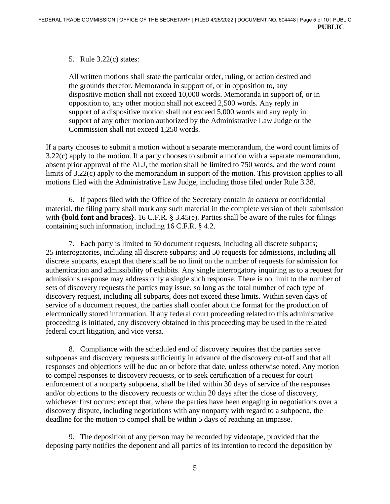## 5. Rule 3.22(c) states:

All written motions shall state the particular order, ruling, or action desired and the grounds therefor. Memoranda in support of, or in opposition to, any dispositive motion shall not exceed 10,000 words. Memoranda in support of, or in opposition to, any other motion shall not exceed 2,500 words. Any reply in support of a dispositive motion shall not exceed 5,000 words and any reply in support of any other motion authorized by the Administrative Law Judge or the Commission shall not exceed 1,250 words.

If a party chooses to submit a motion without a separate memorandum, the word count limits of 3.22(c) apply to the motion. If a party chooses to submit a motion with a separate memorandum, absent prior approval of the ALJ, the motion shall be limited to 750 words, and the word count limits of 3.22(c) apply to the memorandum in support of the motion. This provision applies to all motions filed with the Administrative Law Judge, including those filed under Rule 3.38.

6. If papers filed with the Office of the Secretary contain *in camera* or confidential material, the filing party shall mark any such material in the complete version of their submission with **{bold font and braces}**. 16 C.F.R. § 3.45(e). Parties shall be aware of the rules for filings containing such information, including 16 C.F.R. § 4.2.

7. Each party is limited to 50 document requests, including all discrete subparts; 25 interrogatories, including all discrete subparts; and 50 requests for admissions, including all discrete subparts, except that there shall be no limit on the number of requests for admission for authentication and admissibility of exhibits. Any single interrogatory inquiring as to a request for admissions response may address only a single such response. There is no limit to the number of sets of discovery requests the parties may issue, so long as the total number of each type of discovery request, including all subparts, does not exceed these limits. Within seven days of service of a document request, the parties shall confer about the format for the production of electronically stored information. If any federal court proceeding related to this administrative proceeding is initiated, any discovery obtained in this proceeding may be used in the related federal court litigation, and vice versa.

8. Compliance with the scheduled end of discovery requires that the parties serve subpoenas and discovery requests sufficiently in advance of the discovery cut-off and that all responses and objections will be due on or before that date, unless otherwise noted. Any motion to compel responses to discovery requests, or to seek certification of a request for court enforcement of a nonparty subpoena, shall be filed within 30 days of service of the responses and/or objections to the discovery requests or within 20 days after the close of discovery, whichever first occurs; except that, where the parties have been engaging in negotiations over a discovery dispute, including negotiations with any nonparty with regard to a subpoena, the deadline for the motion to compel shall be within 5 days of reaching an impasse.

9. The deposition of any person may be recorded by videotape, provided that the deposing party notifies the deponent and all parties of its intention to record the deposition by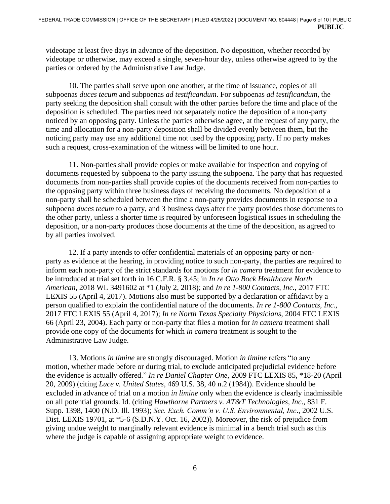videotape at least five days in advance of the deposition. No deposition, whether recorded by videotape or otherwise, may exceed a single, seven-hour day, unless otherwise agreed to by the parties or ordered by the Administrative Law Judge.

10. The parties shall serve upon one another, at the time of issuance, copies of all subpoenas *duces tecum* and subpoenas *ad testificandum*. For subpoenas *ad testificandum*, the party seeking the deposition shall consult with the other parties before the time and place of the deposition is scheduled. The parties need not separately notice the deposition of a non-party noticed by an opposing party. Unless the parties otherwise agree, at the request of any party, the time and allocation for a non-party deposition shall be divided evenly between them, but the noticing party may use any additional time not used by the opposing party. If no party makes such a request, cross-examination of the witness will be limited to one hour.

11. Non-parties shall provide copies or make available for inspection and copying of documents requested by subpoena to the party issuing the subpoena. The party that has requested documents from non-parties shall provide copies of the documents received from non-parties to the opposing party within three business days of receiving the documents. No deposition of a non-party shall be scheduled between the time a non-party provides documents in response to a subpoena *duces tecum* to a party, and 3 business days after the party provides those documents to the other party, unless a shorter time is required by unforeseen logistical issues in scheduling the deposition, or a non-party produces those documents at the time of the deposition, as agreed to by all parties involved.

12. If a party intends to offer confidential materials of an opposing party or nonparty as evidence at the hearing, in providing notice to such non-party, the parties are required to inform each non-party of the strict standards for motions for *in camera* treatment for evidence to be introduced at trial set forth in 16 C.F.R. § 3.45; in *In re Otto Bock Healthcare North American*, 2018 WL 3491602 at \*1 (July 2, 2018); and *In re 1-800 Contacts, Inc.*, 2017 FTC LEXIS 55 (April 4, 2017). Motions also must be supported by a declaration or affidavit by a person qualified to explain the confidential nature of the documents. *In re 1-800 Contacts, Inc.*, 2017 FTC LEXIS 55 (April 4, 2017); *In re North Texas Specialty Physicians*, 2004 FTC LEXIS 66 (April 23, 2004). Each party or non-party that files a motion for *in camera* treatment shall provide one copy of the documents for which *in camera* treatment is sought to the Administrative Law Judge.

13. Motions *in limine* are strongly discouraged. Motion *in limine* refers "to any motion, whether made before or during trial, to exclude anticipated prejudicial evidence before the evidence is actually offered." *In re Daniel Chapter One*, 2009 FTC LEXIS 85, \*18-20 (April 20, 2009) (citing *Luce v. United States*, 469 U.S. 38, 40 n.2 (1984)). Evidence should be excluded in advance of trial on a motion *in limine* only when the evidence is clearly inadmissible on all potential grounds. Id. (citing *Hawthorne Partners v. AT&T Technologies, Inc*., 831 F. Supp. 1398, 1400 (N.D. Ill. 1993); *Sec. Exch. Comm'n v. U.S. Environmental, Inc*., 2002 U.S. Dist. LEXIS 19701, at \*5-6 (S.D.N.Y. Oct. 16, 2002)). Moreover, the risk of prejudice from giving undue weight to marginally relevant evidence is minimal in a bench trial such as this where the judge is capable of assigning appropriate weight to evidence.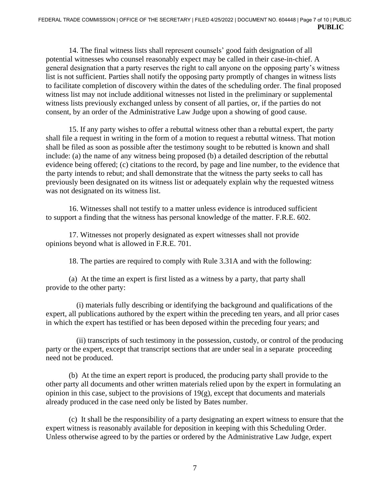14. The final witness lists shall represent counsels' good faith designation of all potential witnesses who counsel reasonably expect may be called in their case-in-chief. A general designation that a party reserves the right to call anyone on the opposing party's witness list is not sufficient. Parties shall notify the opposing party promptly of changes in witness lists to facilitate completion of discovery within the dates of the scheduling order. The final proposed witness list may not include additional witnesses not listed in the preliminary or supplemental witness lists previously exchanged unless by consent of all parties, or, if the parties do not consent, by an order of the Administrative Law Judge upon a showing of good cause.

15. If any party wishes to offer a rebuttal witness other than a rebuttal expert, the party shall file a request in writing in the form of a motion to request a rebuttal witness. That motion shall be filed as soon as possible after the testimony sought to be rebutted is known and shall include: (a) the name of any witness being proposed (b) a detailed description of the rebuttal evidence being offered; (c) citations to the record, by page and line number, to the evidence that the party intends to rebut; and shall demonstrate that the witness the party seeks to call has previously been designated on its witness list or adequately explain why the requested witness was not designated on its witness list.

16. Witnesses shall not testify to a matter unless evidence is introduced sufficient to support a finding that the witness has personal knowledge of the matter. F.R.E. 602.

17. Witnesses not properly designated as expert witnesses shall not provide opinions beyond what is allowed in F.R.E. 701.

18. The parties are required to comply with Rule 3.31A and with the following:

(a) At the time an expert is first listed as a witness by a party, that party shall provide to the other party:

 (i) materials fully describing or identifying the background and qualifications of the expert, all publications authored by the expert within the preceding ten years, and all prior cases in which the expert has testified or has been deposed within the preceding four years; and

 (ii) transcripts of such testimony in the possession, custody, or control of the producing party or the expert, except that transcript sections that are under seal in a separate proceeding need not be produced.

 (b) At the time an expert report is produced, the producing party shall provide to the other party all documents and other written materials relied upon by the expert in formulating an opinion in this case, subject to the provisions of  $19(g)$ , except that documents and materials already produced in the case need only be listed by Bates number.

(c) It shall be the responsibility of a party designating an expert witness to ensure that the expert witness is reasonably available for deposition in keeping with this Scheduling Order. Unless otherwise agreed to by the parties or ordered by the Administrative Law Judge, expert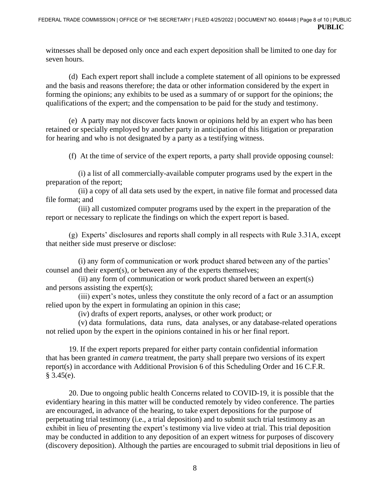witnesses shall be deposed only once and each expert deposition shall be limited to one day for seven hours.

(d) Each expert report shall include a complete statement of all opinions to be expressed and the basis and reasons therefore; the data or other information considered by the expert in forming the opinions; any exhibits to be used as a summary of or support for the opinions; the qualifications of the expert; and the compensation to be paid for the study and testimony.

(e) A party may not discover facts known or opinions held by an expert who has been retained or specially employed by another party in anticipation of this litigation or preparation for hearing and who is not designated by a party as a testifying witness.

(f) At the time of service of the expert reports, a party shall provide opposing counsel:

 (i) a list of all commercially-available computer programs used by the expert in the preparation of the report;

 (ii) a copy of all data sets used by the expert, in native file format and processed data file format; and

 (iii) all customized computer programs used by the expert in the preparation of the report or necessary to replicate the findings on which the expert report is based.

(g) Experts' disclosures and reports shall comply in all respects with Rule 3.31A, except that neither side must preserve or disclose:

 (i) any form of communication or work product shared between any of the parties' counsel and their expert(s), or between any of the experts themselves;

 (ii) any form of communication or work product shared between an expert(s) and persons assisting the expert(s);

 (iii) expert's notes, unless they constitute the only record of a fact or an assumption relied upon by the expert in formulating an opinion in this case;

(iv) drafts of expert reports, analyses, or other work product; or

 (v) data formulations, data runs, data analyses, or any database-related operations not relied upon by the expert in the opinions contained in his or her final report.

19. If the expert reports prepared for either party contain confidential information that has been granted *in camera* treatment, the party shall prepare two versions of its expert report(s) in accordance with Additional Provision 6 of this Scheduling Order and 16 C.F.R.  $§$  3.45(e).

20. Due to ongoing public health Concerns related to COVID-19, it is possible that the evidentiary hearing in this matter will be conducted remotely by video conference. The parties are encouraged, in advance of the hearing, to take expert depositions for the purpose of perpetuating trial testimony (i.e., a trial deposition) and to submit such trial testimony as an exhibit in lieu of presenting the expert's testimony via live video at trial. This trial deposition may be conducted in addition to any deposition of an expert witness for purposes of discovery (discovery deposition). Although the parties are encouraged to submit trial depositions in lieu of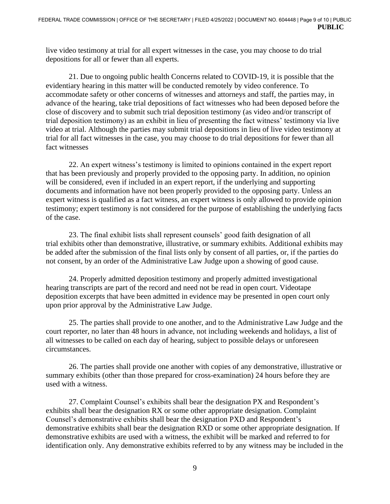live video testimony at trial for all expert witnesses in the case, you may choose to do trial depositions for all or fewer than all experts.

21. Due to ongoing public health Concerns related to COVID-19, it is possible that the evidentiary hearing in this matter will be conducted remotely by video conference. To accommodate safety or other concerns of witnesses and attorneys and staff, the parties may, in advance of the hearing, take trial depositions of fact witnesses who had been deposed before the close of discovery and to submit such trial deposition testimony (as video and/or transcript of trial deposition testimony) as an exhibit in lieu of presenting the fact witness' testimony via live video at trial. Although the parties may submit trial depositions in lieu of live video testimony at trial for all fact witnesses in the case, you may choose to do trial depositions for fewer than all fact witnesses

22. An expert witness's testimony is limited to opinions contained in the expert report that has been previously and properly provided to the opposing party. In addition, no opinion will be considered, even if included in an expert report, if the underlying and supporting documents and information have not been properly provided to the opposing party. Unless an expert witness is qualified as a fact witness, an expert witness is only allowed to provide opinion testimony; expert testimony is not considered for the purpose of establishing the underlying facts of the case.

23. The final exhibit lists shall represent counsels' good faith designation of all trial exhibits other than demonstrative, illustrative, or summary exhibits. Additional exhibits may be added after the submission of the final lists only by consent of all parties, or, if the parties do not consent, by an order of the Administrative Law Judge upon a showing of good cause.

24. Properly admitted deposition testimony and properly admitted investigational hearing transcripts are part of the record and need not be read in open court. Videotape deposition excerpts that have been admitted in evidence may be presented in open court only upon prior approval by the Administrative Law Judge.

25. The parties shall provide to one another, and to the Administrative Law Judge and the court reporter, no later than 48 hours in advance, not including weekends and holidays, a list of all witnesses to be called on each day of hearing, subject to possible delays or unforeseen circumstances.

26. The parties shall provide one another with copies of any demonstrative, illustrative or summary exhibits (other than those prepared for cross-examination) 24 hours before they are used with a witness.

27. Complaint Counsel's exhibits shall bear the designation PX and Respondent's exhibits shall bear the designation RX or some other appropriate designation. Complaint Counsel's demonstrative exhibits shall bear the designation PXD and Respondent's demonstrative exhibits shall bear the designation RXD or some other appropriate designation. If demonstrative exhibits are used with a witness, the exhibit will be marked and referred to for identification only. Any demonstrative exhibits referred to by any witness may be included in the